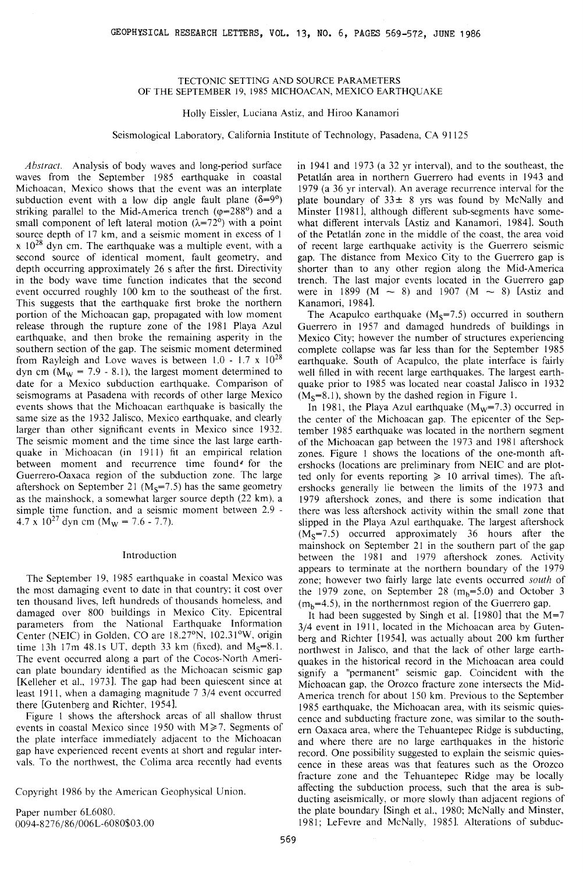## TECTONIC SETTING AND SOURCE PARAMETERS OF THE SEPTEMBER 19, 1985 MICHOACAN, MEXICO EARTHQUAKE

### Holly Eissler, Luciana Astiz, and Hiroo Kanamori

Seismological Laboratory, California Institute of Technology, Pasadena, CA 91125

*Abstract.* Analysis of body waves and long-period surface waves from the September 1985 earthquake in coastal Michoacan, Mexico shows that the event was an interplate subduction event with a low dip angle fault plane  $(\delta=9^{\circ})$ striking parallel to the Mid-America trench ( $\varphi$ =288°) and a small component of left lateral motion ( $\lambda$ =72°) with a point source depth of 17 km, and a seismic moment in excess of 1  $x$  10<sup>28</sup> dyn cm. The earthquake was a multiple event, with a second source of identical moment, fault geometry, and depth occurring approximately 26 s after the first. Directivity in the body wave time function indicates that the second event occurred roughly 100 km to the southeast of the first. This suggests that the earthquake first broke the northern portion of the Michoacan gap, propagated with low moment release through the rupture zone of the 1981 Playa Azul earthquake, and then broke the remaining asperity in the southern section of the gap. The seismic moment determined from Rayleigh and Love waves is between  $1.0 - 1.7 \times 10^{28}$ dyn cm ( $M_W$  = 7.9 - 8.1), the largest moment determined to date for a Mexico subduction earthquake. Comparison of seismograms at Pasadena with records of other large Mexico events shows that the Michoacan earthquake is basically the same size as the 1932 Jalisco. Mexico earthquake, and clearly larger than other significant events in Mexico since 1932. The seismic moment and the time since the last large earthquake in Michoacan (in 1911) fit an empirical relation between moment and recurrence time found<sup>«</sup> for the Guerrero-Oaxaca region of the subduction zone. The large aftershock on September 21 ( $M<sub>S</sub>=7.5$ ) has the same geometry as the mainshock, a somewhat larger source depth (22 km), a simple time function, and a seismic moment between 2.9 - 4.7 x  $10^{27}$  dyn cm (M<sub>w</sub> = 7.6 - 7.7).

### Introduction

The September 19, 1985 earthquake in coastal Mexico was the most damaging event to date in that country; it cost over ten thousand lives, left hundreds of thousands homeless, and damaged over 800 buildings in Mexico City. Epicentral parameters from the National Earthquake Information Center (NEIC) in Golden, CO are 18.27°N, 102.31°W, origin time 13h 17m 48.1s UT, depth 33 km (fixed), and  $M_s=8.1$ . The event occurred along a part of the Cocos-North American plate boundary identified as the Michoacan seismic gap [Kelleher et al., 1973). The gap had been quiescent since at least 1911, when a damaging magnitude 7 3/4 event occurred there [Gutenberg and Richter, 19541.

Figure 1 shows the aftershock areas of all shallow thrust events in coastal Mexico since 1950 with  $M \ge 7$ . Segments of the plate interface immediately adjacent to the Michoacan gap have experienced recent events at short and regular intervals. To the northwest, the Colima area recently had events

Copyright 1986 by the American Geophysical Union.

Paper number 6L6080. 0094-8276/86/006L-6080\$03.00 in 1941 and 1973 (a 32 yr interval), and to the southeast, the Petatlan area in northern Guerrero had events in 1943 and 1979 (a 36 yr interval). An average recurrence interval for the plate boundary of  $33 \pm 8$  yrs was found by McNally and Minster [1981], although different sub-segments have somewhat different intervals [Astiz and Kanamori, 1984]. South of the Petatlan zone in the middle of the coast, the area void of recent large earthquake activity is the Guerrero seismic gap. The distance from Mexico City to the Guerrero gap is shorter than to any other region along the Mid-America trench. The last major events located in the Guerrero gap were in 1899 (M  $\sim$  8) and 1907 (M  $\sim$  8) [Astiz and Kanamori, 1984 ).

The Acapulco earthquake  $(M<sub>S</sub>=7.5)$  occurred in southern Guerrero in 1957 and damaged hundreds of buildings in Mexico City; however the number of structures experiencing complete collapse was far less than for the September 1985 earthquake. South of Acapulco, the plate interface is fairly well filled in with recent large earthquakes. The largest earthquake prior to 1985 was located near coastal Jalisco in 1932  $(M<sub>s</sub>=8.1)$ , shown by the dashed region in Figure 1.

In 1981, the Playa Azul earthquake  $(M_w=7.3)$  occurred in the center of the Michoacan gap. The epicenter of the September 1985 earthquake was located in the northern segment of the Michoacan gap between the 1973 and 1981 aftershock zones. Figure 1 shows the locations of the one-month aftershocks (locations are preliminary from NEIC and are plotted only for events reporting  $\geq 10$  arrival times). The aftershocks generally lie between the limits of the 1973 and 1979 aftershock zones, and there is some indication that there was less aftershock activity within the small zone that slipped in the Playa Azul earthquake. The largest aftershock  $(M<sub>S</sub>=7.5)$  occurred approximately 36 hours after the mainshock on September 21 in the southern part of the gap between the 1981 and 1979 aftershock zones. Activity appears to terminate at the northern boundary of the 1979 zone; however two fairly large late events occurred *south* of the 1979 zone, on September 28  $(m_b=5.0)$  and October 3  $(m_b=4.5)$ , in the northernmost region of the Guerrero gap.

It had been suggested by Singh et al.  $[1980]$  that the M=7 3/4 event in 1911, located in the Michoacan area by Gutenberg and Richter [1954], was actually about 200 km further northwest in Jalisco, and that the lack of other large earthquakes in the historical record in the Michoacan area could signify a "permanent" seismic gap. Coincident with the Michoacan gap, the Orozco fracture zone intersects the Mid-America trench for about 150 km. Previous to the September 1985 earthquake, the Michoacan area, with its seismic quiescence and subducting fracture zone, was similar to the southern Oaxaca area, where the Tehuantepec Ridge is subducting, and where there are no large earthquakes in the historic record. One possibility suggested to explain the seismic quiescence in these areas was that features such as the Orozco fracture zone and the Tehuantepec Ridge may be locally affecting the subduction process, such that the area is subducting aseismically, or more slowly than adjacent regions of the plate boundary [Singh et al., 1980; McNally and Minster, 1981; Lefevre and McNally, 1985). Alterations of subdue-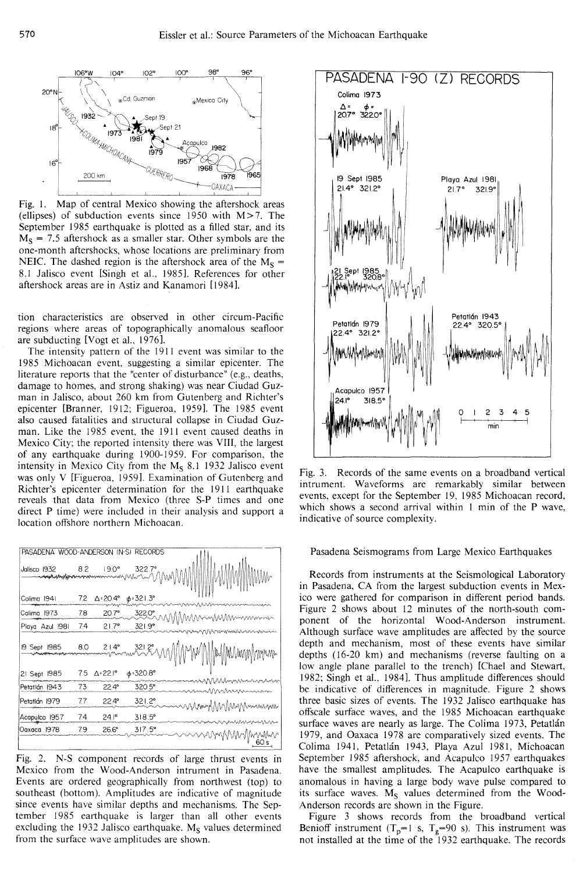

Fig. 1. Map of central Mexico showing the aftershock areas (ellipses) of subduction events since 1950 with  $M > 7$ . The September 1985 earthquake is plotted as a filled star, and its  $M<sub>S</sub>$  = 7.5 aftershock as a smaller star. Other symbols are the one-month aftershocks, whose locations are preliminary from NEIC. The dashed region is the aftershock area of the  $M<sub>S</sub>$  = 8.1 Jalisco event [Singh et al., 1985]. References for other aftershock areas are in Astiz and Kanamori [ 19841.

tion characteristics are observed in other circum-Pacific regions where areas of topographically anomalous seafloor are subducting [Vogt et al., 19761.

The intensity pattern of the 1911 event was similar to the 1985 Michoacan event, suggesting a similar epicenter. The literature reports that the "center of disturbance" (e.g., deaths, damage to homes, and strong shaking) was near Ciudad Guzman in Jalisco, about 260 km from Gutenberg and Richter's epicenter [Branner, 1912; Figueroa, 1959]. The 1985 event also caused fatalities and structural collapse in Ciudad Guzman. Like the 1985 event, the 1911 event caused deaths in Mexico City; the reported intensity there was VIII, the largest of any earthquake during 1900-1959. For comparison, the intensity in Mexico City from the  $M_S$  8.1 1932 Jalisco event was only V [Figueroa, 19591. Examination of Gutenberg and Richter's epicenter determination for the 1911 earthquake reveals that data from Mexico (three S-P times and one direct P time) were included in their analysis and support a location offshore northern Michoacan.

| PASADENA WOOD-ANDERSON (N-S) RECORDS |     |                |                                                    |                               | Pasad                           |
|--------------------------------------|-----|----------------|----------------------------------------------------|-------------------------------|---------------------------------|
| Jalisco 1932<br>Colima 1941          | 7.2 |                | $\Delta = 20.4^{\circ} \quad \phi = 321.3^{\circ}$ |                               | Recor<br>in Pasad<br>ico were   |
| Colima 1973                          | 78  | 20.7°          |                                                    |                               | Figure 2                        |
| Playa Azul 1981                      | 7.4 | $21.7^{\circ}$ | 3220° M<br>$321.9^{\circ}$                         | MMmMMmmmmm<br>11Vvmmmmmmmmmmm | ponent<br>Althougl              |
| 19 Sept 1985                         | 8.0 |                |                                                    | 2 21.4° 321.8° MMMMMMMMMM     | depth at<br>depths (            |
| 21 Sept 1985                         |     | 7.5 ∆=22.I°    | $\phi$ =320.8°                                     |                               | low angl<br>1982; Si            |
| Petatlán 1943                        | 73  | $22.4^{\circ}$ | 320.5°                                             | mnnnmmmmmmmm<br>nnMMMMMMMMM   | be indic                        |
| Petatlán 1979                        | 7.7 | $22.4^{\circ}$ | 321.2°                                             | wwwmmMMMMmmmmm                | three ba                        |
| Acapulco 1957                        | 74  | $24.1^{\circ}$ | $318.5^{\circ}$                                    |                               | offscale                        |
| Oaxaca 1978                          | 79  | $26.6^{\circ}$ | $317.5^{\circ}$                                    | nnmnnnn<br>mMMMwyn            | surface y<br>1979, an<br>Colima |

Fig. 2. N-S component records of large thrust events in Mexico from the Wood-Anderson intrument in Pasadena. Events are ordered geographically from northwest (top) to southeast (bottom). Amplitudes are indicative of magnitude since events have similar depths and mechanisms. The September 1985 earthquake is larger than all other events excluding the 1932 Jalisco earthquake.  $M<sub>S</sub>$  values determined from the surface wave amplitudes are shown.



Fig. 3. Records of the same events on a broadband vertical intrument. Waveforms are remarkably similar between events, except for the September 19, 1985 Michoacan record, which shows a second arrival within 1 min of the P wave, indicative of source complexity.

### Pasadena Seismograms from Large Mexico Earthquakes

Records from instruments at the Seismological Laboratory in Pasadena, CA from the largest subduction events in Mexico were gathered for comparison in different period bands. Figure 2 shows about 12 minutes of the north-south component of the horizontal Wood-Anderson instrument. Although surface wave amplitudes are affected by the source depth and mechanism, most of these events have similar depths (16-20 km) and mechanisms (reverse faulting on a low angle plane parallel to the trench) [Chael and Stewart, 1982; Singh et al., 1984]. Thus amplitude differences should be indicative of differences in magnitude. Figure 2 shows three basic sizes of events. The 1932 Jalisco earthquake has offscale surface waves, and the 1985 Michoacan earthquake surface waves are nearly as large. The Colima 1973, Petatlán 1979, and Oaxaca 1978 are comparatively sized events. The Colima 1941, Petatlán 1943, Playa Azul 1981, Michoacan September 1985 aftershock, and Acapulco 1957 earthquakes have the smallest amplitudes. The Acapulco earthquake is anomalous in having a large body wave pulse compared to its surface waves.  $M<sub>S</sub>$  values determined from the Wood-Anderson records are shown in the Figure.

Figure 3 shows records from the broadband vertical Benioff instrument  $(T_p=1 \text{ s}, T_g=90 \text{ s})$ . This instrument was not installed at the time of the 1932 earthquake. The records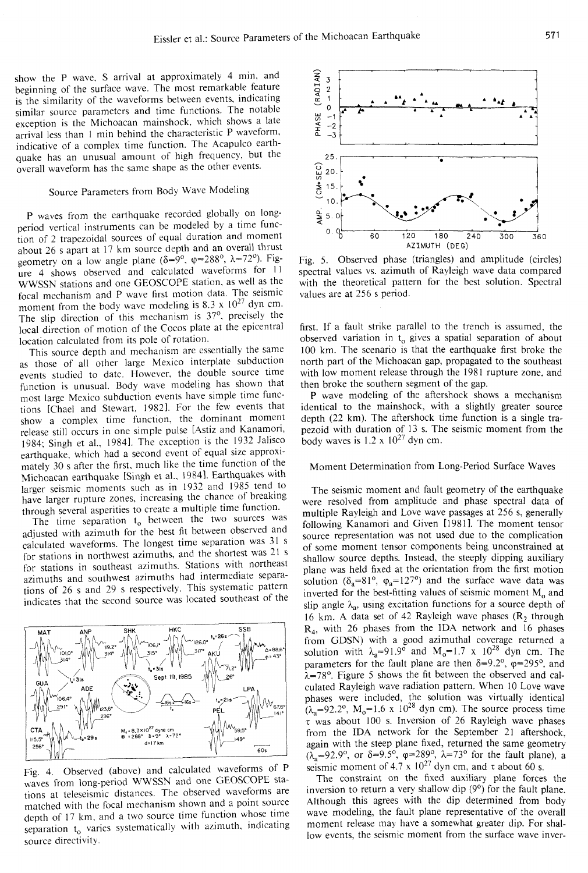show the P wave. S arrival at approximately 4 min. and beginning of the surface wave. The most remarkable feature is the similarity of the waveforms between events. indicating similar source parameters and time functions. The notable exception is the Michoacan mainshock, which shows a late arrival less than l min behind the characteristic P waveform. indicative of a complex time function. The Acapulco earthquake has an unusual amount of high frequency. but the overall waveform has the same shape as the other events.

# Source Parameters from Body Wave Modeling

P waves from the earthquake recorded globally on longperiod vertical instruments can be modeled by a time function of 2 trapezoidal sources of equal duration and moment about 26 s apart at 17 km source depth and an overall thrust geometry on a low angle plane ( $\delta = 9^\circ$ ,  $\varphi = 288^\circ$ ,  $\lambda = 72^\circ$ ). Figure 4 shows observed and calculated waveforms for 11 WWSSN stations and one GEOSCOPE station. as well as the focal mechanism and P wave first motion data. The seismic moment from the body wave modeling is 8.3 x  $10^{27}$  dyn cm. The slip direction of this mechanism is 37°. precisely the local direction of motion of the Cocos plate at the epicentral location calculated from its pole of rotation.

This source depth and mechanism are essentially the same as those of all other large Mexico interplate subduction events studied to date. However. the double source time function is unusual. Bodv wave modeling has shown that most large Mexico subduction events have simple time functions [Chae! and Stewart. 1982]. For the few events that show a complex time function. the dominant moment release still occurs in one simple pulse [Astiz and Kanamori. 1984; Singh et al.. 19841. The exception is the 1932 Jalisco earthquake. which had a second event of equal size approximately 30 s after the first. much like the time function of the Michoacan earthquake [Singh et al.. 1984 ]. Earthquakes with larger seismic moments such as in 1932 and 1985 tend to have larger rupture zones, increasing the chance of breaking through several asperities to create a multiple time function.

The time separation  $t_0$  between the two sources was adjusted with azimuth for the best fit between observed and calculated waveforms. The longest time separation was 31 s for stations in northwest azimuths. and the shortest was 21 s for stations in southeast azimuths. Stations with northeast azimuths and southwest azimuths had intermediate separations of 26 s and 29 s respectively. This systematic pattern indicates that the second source was located southeast of the



Fig. 4. Observed (above) and calculated waveforms of P waves from long-period WWSSN and one GEOSCOPE stations at teleseismic distances. The observed waveforms are matched with the focal mechanism shown and a point source depth of 17 km. and a two source time function whose time separation t<sub>o</sub> varies systematically with azimuth, indicating source directivity.



Fig. 5. Observed phase (triangles) and amplitude (circles) spectral values vs. azimuth of Rayleigh wave data compared with the theoretical pattern for the best solution. Spectral values are at 256 s period.

first. If a fault strike parallel to the trench is assumed. the observed variation in  $t_0$  gives a spatial separation of about 100 km. The scenario is that the earthquake first broke the north part of the Michoacan gap. propagated to the southeast with low moment release through the 1981 rupture zone, and then broke the southern segment of the gap.

P wave modeling of the aftershock shows a mechanism identical to the mainshock, with a slightly greater source depth (22 km). The aftershock time function is a single trapezoid with duration of 13 s. The seismic moment from the body waves is  $1.2 \times 10^{27}$  dyn cm.

## Moment Determination from Long-Period Surface Waves

The seismic moment and fault geometry of the earthquake were resolved from amplitude and phase spectral data of multiple Rayleigh and Love wave passages at 256 s, generally following Kanamori and Given [1981]. The moment tensor source representation was not used due to the complication of some moment tensor components being unconstrained at shallow source depths. Instead, the steeply dipping auxiliary plane was held fixed at the orientation from the first motion solution ( $\delta_a=81^\circ$ ,  $\varphi_a=127^\circ$ ) and the surface wave data was inverted for the best-fitting values of seismic moment  $M_0$  and slip angle  $\lambda_a$ , using excitation functions for a source depth of 16 km. A data set of 42 Rayleigh wave phases  $(R_2)$  through  $R<sub>4</sub>$ , with 26 phases from the IDA network and 16 phases from GDSN) with a good azimuthal coverage returned a solution with  $\lambda_a=91.9^\circ$  and  $M_o=1.7 \times 10^{28}$  dyn cm. The parameters for the fault plane are then  $\delta = 9.2$ °,  $\varphi = 295$ °, and  $\lambda$ =78°. Figure 5 shows the fit between the observed and calculated Rayleigh wave radiation pattern. When JO Love wave phases were included, the solution was virtually identical  $(\lambda_a=92.2^{\circ}, M_o=1.6 \times 10^{28} \text{ dyn cm})$ . The source process time  $\tau$  was about 100 s. Inversion of 26 Rayleigh wave phases from the IDA network for the September 21 aftershock. again with the steep plane fixed, returned the same geometry  $(\lambda_a=92.9^\circ, \text{ or } \delta=9.5^\circ, \varphi=289^\circ, \lambda=73^\circ \text{ for the fault plane}),$  a seismic moment of 4.7 x  $10^{27}$  dyn cm, and  $\tau$  about 60 s.

The constraint on the fixed auxiliary plane forces the inversion to return a very shallow dip (9°) for the fault plane. Although this agrees with the dip determined from body wave modeling, the fault plane representative of the overall moment release may have a somewhat greater dip. For shallow events. the seismic moment from the surface wave inver-